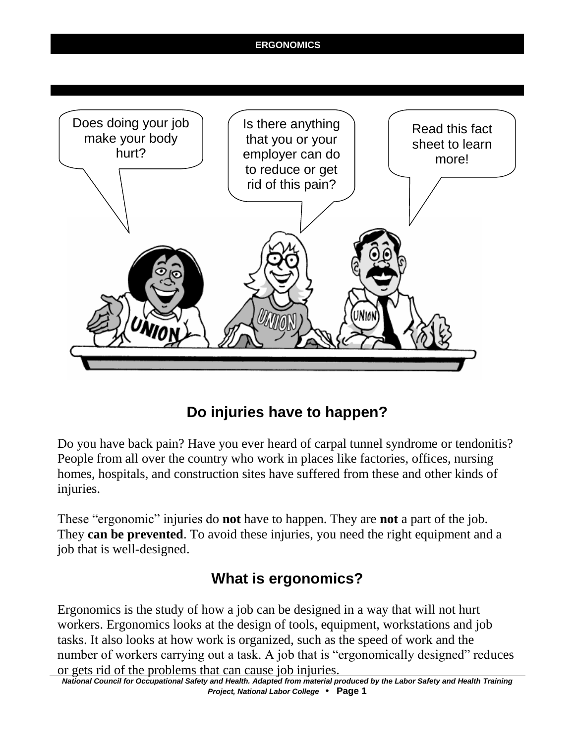

# **Do injuries have to happen?**

Do you have back pain? Have you ever heard of carpal tunnel syndrome or tendonitis? People from all over the country who work in places like factories, offices, nursing homes, hospitals, and construction sites have suffered from these and other kinds of injuries.

These "ergonomic" injuries do **not** have to happen. They are **not** a part of the job. They **can be prevented**. To avoid these injuries, you need the right equipment and a job that is well-designed.

# **What is ergonomics?**

Ergonomics is the study of how a job can be designed in a way that will not hurt workers. Ergonomics looks at the design of tools, equipment, workstations and job tasks. It also looks at how work is organized, such as the speed of work and the number of workers carrying out a task. A job that is "ergonomically designed" reduces or gets rid of the problems that can cause job injuries.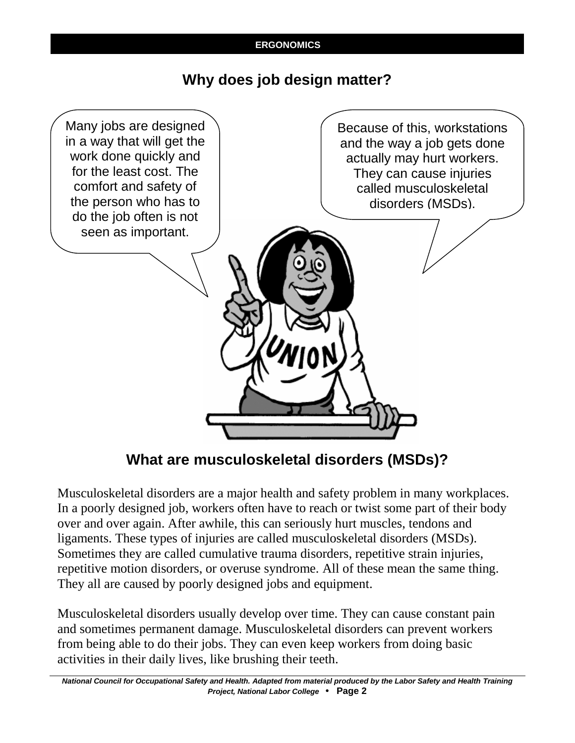## **Why does job design matter?**



**What are musculoskeletal disorders (MSDs)?**

Musculoskeletal disorders are a major health and safety problem in many workplaces. In a poorly designed job, workers often have to reach or twist some part of their body over and over again. After awhile, this can seriously hurt muscles, tendons and ligaments. These types of injuries are called musculoskeletal disorders (MSDs). Sometimes they are called cumulative trauma disorders, repetitive strain injuries, repetitive motion disorders, or overuse syndrome. All of these mean the same thing. They all are caused by poorly designed jobs and equipment.

Musculoskeletal disorders usually develop over time. They can cause constant pain and sometimes permanent damage. Musculoskeletal disorders can prevent workers from being able to do their jobs. They can even keep workers from doing basic activities in their daily lives, like brushing their teeth.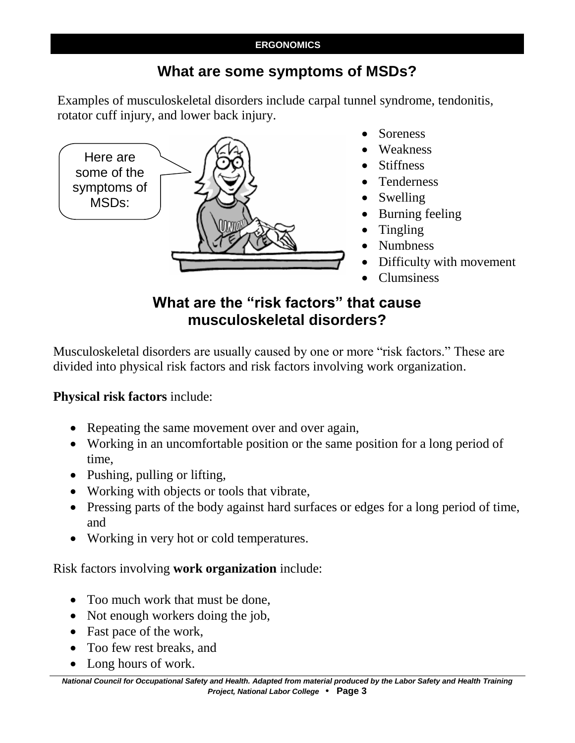## **What are some symptoms of MSDs?**

Examples of musculoskeletal disorders include carpal tunnel syndrome, tendonitis, rotator cuff injury, and lower back injury.



- Soreness
- Weakness
- Stiffness
- Tenderness
- Swelling
- Burning feeling
- Tingling
- Numbness
- Difficulty with movement
- Clumsiness

## **What are the "risk factors" that cause musculoskeletal disorders?**

Musculoskeletal disorders are usually caused by one or more "risk factors." These are divided into physical risk factors and risk factors involving work organization.

## **Physical risk factors** include:

- Repeating the same movement over and over again,
- Working in an uncomfortable position or the same position for a long period of time,
- Pushing, pulling or lifting,
- Working with objects or tools that vibrate,
- Pressing parts of the body against hard surfaces or edges for a long period of time, and
- Working in very hot or cold temperatures.

## Risk factors involving **work organization** include:

- Too much work that must be done,
- Not enough workers doing the job,
- Fast pace of the work,
- Too few rest breaks, and
- Long hours of work.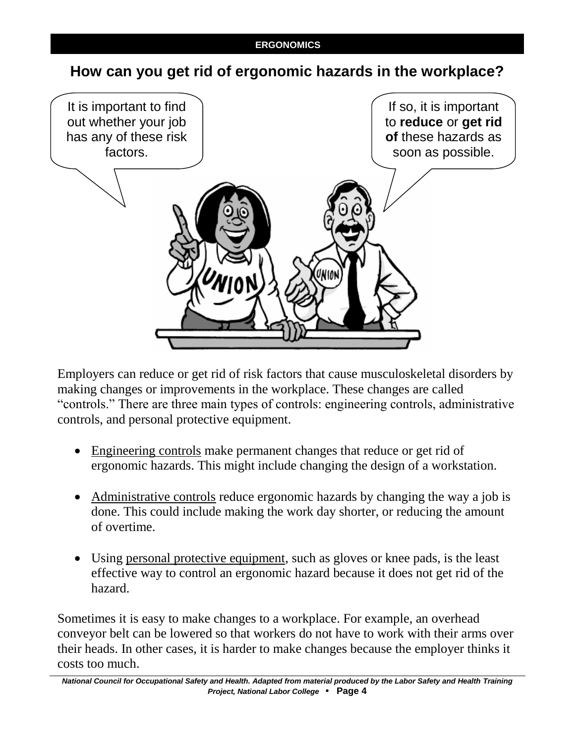## **How can you get rid of ergonomic hazards in the workplace?**



Employers can reduce or get rid of risk factors that cause musculoskeletal disorders by making changes or improvements in the workplace. These changes are called "controls." There are three main types of controls: engineering controls, administrative controls, and personal protective equipment.

- Engineering controls make permanent changes that reduce or get rid of ergonomic hazards. This might include changing the design of a workstation.
- Administrative controls reduce ergonomic hazards by changing the way a job is done. This could include making the work day shorter, or reducing the amount of overtime.
- Using personal protective equipment, such as gloves or knee pads, is the least effective way to control an ergonomic hazard because it does not get rid of the hazard.

Sometimes it is easy to make changes to a workplace. For example, an overhead conveyor belt can be lowered so that workers do not have to work with their arms over their heads. In other cases, it is harder to make changes because the employer thinks it costs too much.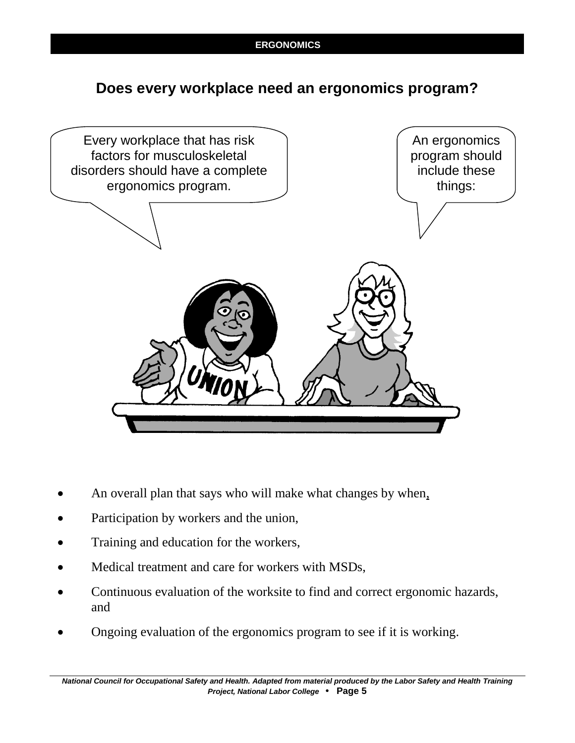## **Does every workplace need an ergonomics program?**



- An overall plan that says who will make what changes by when,
- Participation by workers and the union,
- Training and education for the workers,
- Medical treatment and care for workers with MSDs,
- Continuous evaluation of the worksite to find and correct ergonomic hazards, and
- Ongoing evaluation of the ergonomics program to see if it is working.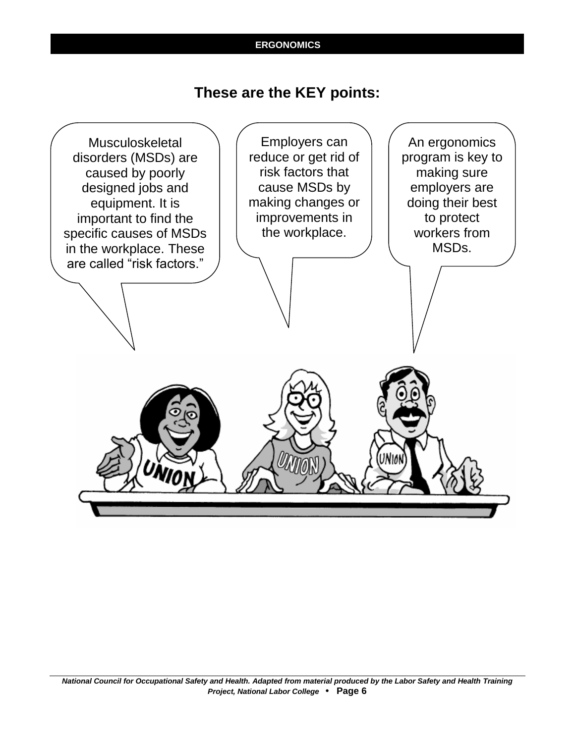## **These are the KEY points:**